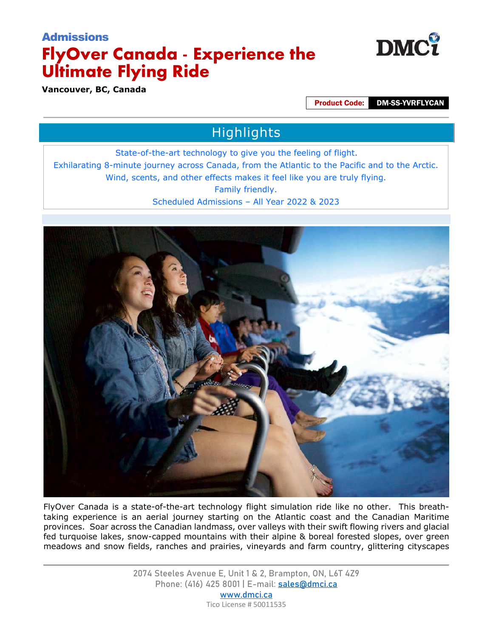

**Vancouver, BC, Canada**

Product Code: DM-SS-YVRFLYCAN

# Highlights

State-of-the-art technology to give you the feeling of flight. Exhilarating 8-minute journey across Canada, from the Atlantic to the Pacific and to the Arctic. Wind, scents, and other effects makes it feel like you are truly flying. Family friendly. Scheduled Admissions – All Year 2022 & 2023



FlyOver Canada is a state-of-the-art technology flight simulation ride like no other. This breathtaking experience is an aerial journey starting on the Atlantic coast and the Canadian Maritime provinces. Soar across the Canadian landmass, over valleys with their swift flowing rivers and glacial fed turquoise lakes, snow-capped mountains with their alpine & boreal forested slopes, over green meadows and snow fields, ranches and prairies, vineyards and farm country, glittering cityscapes

> 2074 Steeles Avenue E, Unit 1 & 2, Brampton, ON, L6T 4Z9 Phone: (416) 425 8001 | E-mail: [sales@dmci.ca](mailto:sales@dmci.ca) www.dmci.ca Tico License # 50011535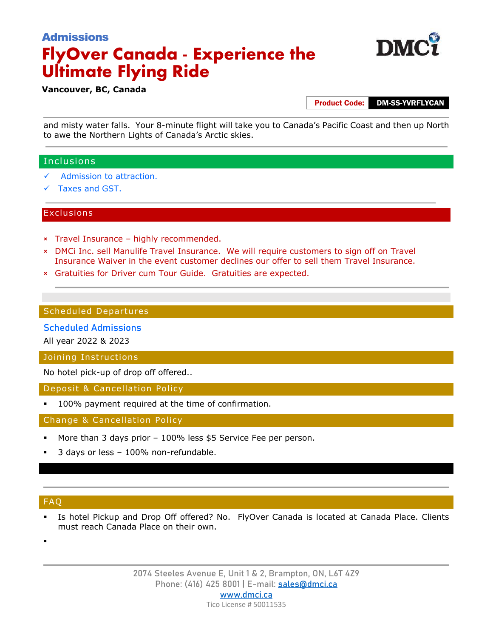

### **Vancouver, BC, Canada**

Product Code: DM-SS-YVRFLYCAN

and misty water falls. Your 8-minute flight will take you to Canada's Pacific Coast and then up North to awe the Northern Lights of Canada's Arctic skies.

## Inclusions

- Admission to attraction.
- Taxes and GST.

### **Exclusions**

- × Travel Insurance highly recommended.
- × DMCi Inc. sell Manulife Travel Insurance. We will require customers to sign off on Travel Insurance Waiver in the event customer declines our offer to sell them Travel Insurance.
- × Gratuities for Driver cum Tour Guide. Gratuities are expected.

### Scheduled Departures

### Scheduled Admissions

All year 2022 & 2023

Joining Instructions

No hotel pick-up of drop off offered..

Deposit & Cancellation Policy

100% payment required at the time of confirmation.

Change & Cancellation Policy

- More than 3 days prior 100% less \$5 Service Fee per person.
- 3 days or less 100% non-refundable.

### FAQ

- Is hotel Pickup and Drop Off offered? No. FlyOver Canada is located at Canada Place. Clients must reach Canada Place on their own.
- .

2074 Steeles Avenue E, Unit 1 & 2, Brampton, ON, L6T 4Z9 Phone: (416) 425 8001 | E-mail: [sales@dmci.ca](mailto:sales@dmci.ca) www.dmci.ca Tico License # 50011535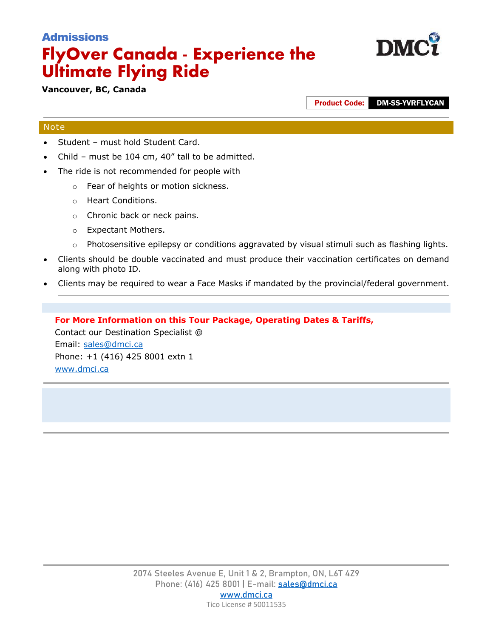

**Vancouver, BC, Canada**

Product Code: DM-SS-YVRFLYCAN

## Note

- Student must hold Student Card.
- Child must be  $104$  cm,  $40''$  tall to be admitted.
- The ride is not recommended for people with
	- o Fear of heights or motion sickness.
	- o Heart Conditions.
	- o Chronic back or neck pains.
	- o Expectant Mothers.
	- $\circ$  Photosensitive epilepsy or conditions aggravated by visual stimuli such as flashing lights.
- Clients should be double vaccinated and must produce their vaccination certificates on demand along with photo ID.
- Clients may be required to wear a Face Masks if mandated by the provincial/federal government.

## **For More Information on this Tour Package, Operating Dates & Tariffs,**

Contact our Destination Specialist @ Email: [sales@dmci.ca](mailto:sales@dmci.ca)  Phone: +1 (416) 425 8001 extn 1 [www.dmci.ca](http://www.dmci.ca/)